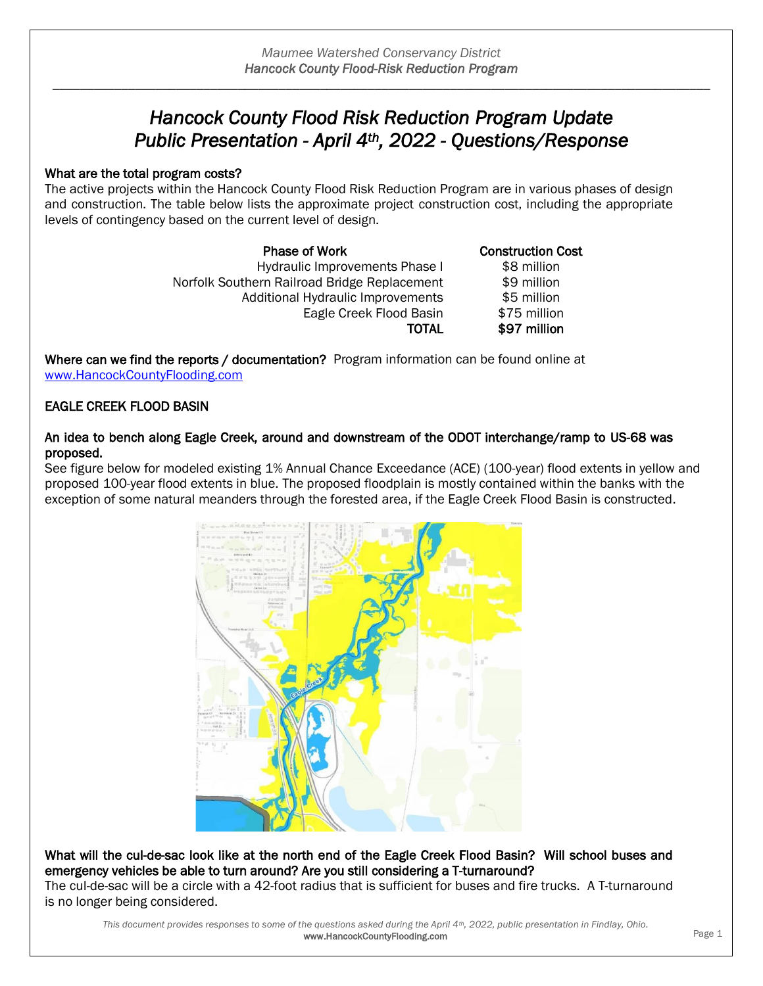# *Hancock County Flood Risk Reduction Program Update Public Presentation - April 4th, 2022 - Questions/Response*

### What are the total program costs?

The active projects within the Hancock County Flood Risk Reduction Program are in various phases of design and construction. The table below lists the approximate project construction cost, including the appropriate levels of contingency based on the current level of design.

> **Phase of Work Construction Cost** Hydraulic Improvements Phase I \$8 million Norfolk Southern Railroad Bridge Replacement \$9 million Additional Hydraulic Improvements \$5 million Eagle Creek Flood Basin \$75 million

TOTAL \$97 million

Where can we find the reports / documentation? Program information can be found online at [www.HancockCountyFlooding.com](http://www.hancockcountyflooding.com/)

## EAGLE CREEK FLOOD BASIN

### An idea to bench along Eagle Creek, around and downstream of the ODOT interchange/ramp to US-68 was proposed.

See figure below for modeled existing 1% Annual Chance Exceedance (ACE) (100-year) flood extents in yellow and proposed 100-year flood extents in blue. The proposed floodplain is mostly contained within the banks with the exception of some natural meanders through the forested area, if the Eagle Creek Flood Basin is constructed.



What will the cul-de-sac look like at the north end of the Eagle Creek Flood Basin? Will school buses and emergency vehicles be able to turn around? Are you still considering a T-turnaround? The cul-de-sac will be a circle with a 42-foot radius that is sufficient for buses and fire trucks. A T-turnaround

is no longer being considered.